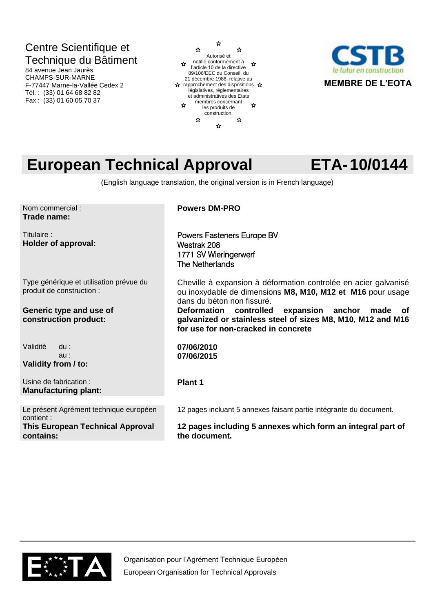## Centre Scientifique et Technique du Bâtiment

84 avenue Jean Jaurès CHAMPS-SUR-MARNE F-77447 Marne-la-Vallée Cedex 2 Tél. : (33) 01 64 68 82 82 Fax : (33) 01 60 05 70 37





# **European Technical Approval ETA-10/0144**

(English language translation, the original version is in French language)

Nom commercial : **Trade name:** 

Titulaire : **Holder of approval:** 

Type générique et utilisation prévue du produit de construction :

### **Generic type and use of construction product:**

Validité du : au : **Validity from / to:**

Usine de fabrication : **Manufacturing plant:**

Le présent Agrément technique européen contient : **This European Technical Approval contains:**

**Powers DM-PRO**

Powers Fasteners Europe BV Westrak 208 1771 SV Wieringerwerf The Netherlands

Cheville à expansion à déformation controlée en acier galvanisé ou inoxydable de dimensions **M8, M10, M12 et M16** pour usage dans du béton non fissuré.<br>Deformation controlled

expansion anchor made of **galvanized or stainless steel of sizes M8, M10, M12 and M16 for use for non-cracked in concrete**

**07/06/2010 07/06/2015**

### **Plant 1**

12 pages incluant 5 annexes faisant partie intégrante du document.

**12 pages including 5 annexes which form an integral part of the document.**

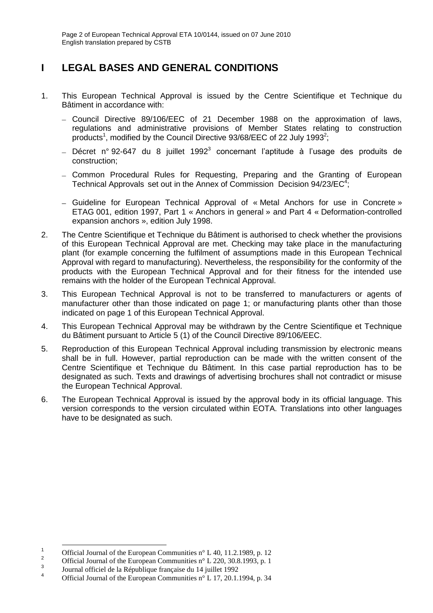## **I LEGAL BASES AND GENERAL CONDITIONS**

- 1. This European Technical Approval is issued by the Centre Scientifique et Technique du Bâtiment in accordance with:
	- Council Directive 89/106/EEC of 21 December 1988 on the approximation of laws, regulations and administrative provisions of Member States relating to construction products<sup>1</sup>, modified by the Council Directive 93/68/EEC of 22 July 1993<sup>2</sup>;
	- Décret n° 92-647 du 8 juillet 1992<sup>3</sup> concernant l'aptitude à l'usage des produits de construction;
	- Common Procedural Rules for Requesting, Preparing and the Granting of European Technical Approvals set out in the Annex of Commission Decision 94/23/EC<sup>4</sup>;
	- Guideline for European Technical Approval of « Metal Anchors for use in Concrete » ETAG 001, edition 1997, Part 1 « Anchors in general » and Part 4 « Deformation-controlled expansion anchors », edition July 1998.
- 2. The Centre Scientifique et Technique du Bâtiment is authorised to check whether the provisions of this European Technical Approval are met. Checking may take place in the manufacturing plant (for example concerning the fulfilment of assumptions made in this European Technical Approval with regard to manufacturing). Nevertheless, the responsibility for the conformity of the products with the European Technical Approval and for their fitness for the intended use remains with the holder of the European Technical Approval.
- 3. This European Technical Approval is not to be transferred to manufacturers or agents of manufacturer other than those indicated on page 1; or manufacturing plants other than those indicated on page 1 of this European Technical Approval.
- 4. This European Technical Approval may be withdrawn by the Centre Scientifique et Technique du Bâtiment pursuant to Article 5 (1) of the Council Directive 89/106/EEC.
- 5. Reproduction of this European Technical Approval including transmission by electronic means shall be in full. However, partial reproduction can be made with the written consent of the Centre Scientifique et Technique du Bâtiment. In this case partial reproduction has to be designated as such. Texts and drawings of advertising brochures shall not contradict or misuse the European Technical Approval.
- 6. The European Technical Approval is issued by the approval body in its official language. This version corresponds to the version circulated within EOTA. Translations into other languages have to be designated as such.

-

<sup>&</sup>lt;sup>1</sup> Official Journal of the European Communities n° L 40, 11.2.1989, p. 12<sup>2</sup>

Official Journal of the European Communities n° L 220, 30.8.1993, p. 1

<sup>3</sup> Journal officiel de la République française du 14 juillet 1992

<sup>4</sup> Official Journal of the European Communities n° L 17, 20.1.1994, p. 34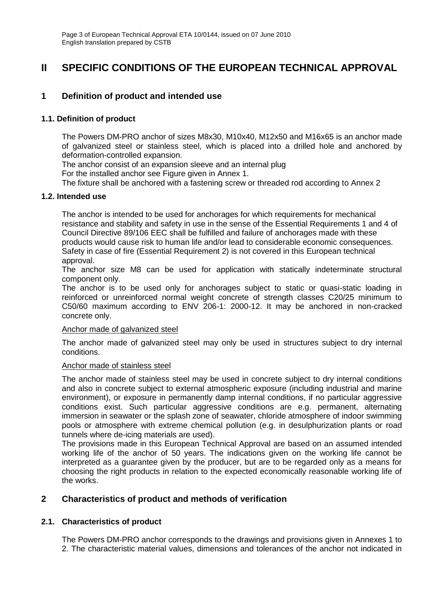### **II SPECIFIC CONDITIONS OF THE EUROPEAN TECHNICAL APPROVAL**

### **1 Definition of product and intended use**

### **1.1. Definition of product**

The Powers DM-PRO anchor of sizes M8x30, M10x40, M12x50 and M16x65 is an anchor made of galvanized steel or stainless steel, which is placed into a drilled hole and anchored by deformation-controlled expansion.

The anchor consist of an expansion sleeve and an internal plug

For the installed anchor see Figure given in Annex 1.

The fixture shall be anchored with a fastening screw or threaded rod according to Annex 2

### **1.2. Intended use**

The anchor is intended to be used for anchorages for which requirements for mechanical resistance and stability and safety in use in the sense of the Essential Requirements 1 and 4 of Council Directive 89/106 EEC shall be fulfilled and failure of anchorages made with these products would cause risk to human life and/or lead to considerable economic consequences. Safety in case of fire (Essential Requirement 2) is not covered in this European technical approval.

The anchor size M8 can be used for application with statically indeterminate structural component only.

The anchor is to be used only for anchorages subject to static or quasi-static loading in reinforced or unreinforced normal weight concrete of strength classes C20/25 minimum to C50/60 maximum according to ENV 206-1: 2000-12. It may be anchored in non-cracked concrete only.

#### Anchor made of galvanized steel

The anchor made of galvanized steel may only be used in structures subject to dry internal conditions.

#### Anchor made of stainless steel

The anchor made of stainless steel may be used in concrete subject to dry internal conditions and also in concrete subject to external atmospheric exposure (including industrial and marine environment), or exposure in permanently damp internal conditions, if no particular aggressive conditions exist. Such particular aggressive conditions are e.g. permanent, alternating immersion in seawater or the splash zone of seawater, chloride atmosphere of indoor swimming pools or atmosphere with extreme chemical pollution (e.g. in desulphurization plants or road tunnels where de-icing materials are used).

The provisions made in this European Technical Approval are based on an assumed intended working life of the anchor of 50 years. The indications given on the working life cannot be interpreted as a guarantee given by the producer, but are to be regarded only as a means for choosing the right products in relation to the expected economically reasonable working life of the works.

### **2 Characteristics of product and methods of verification**

### **2.1. Characteristics of product**

The Powers DM-PRO anchor corresponds to the drawings and provisions given in Annexes 1 to 2. The characteristic material values, dimensions and tolerances of the anchor not indicated in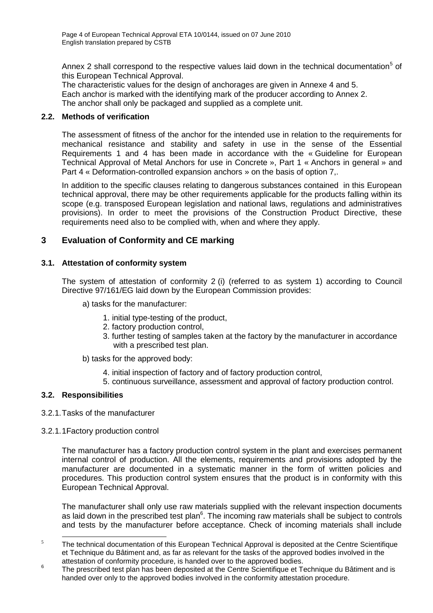Annex 2 shall correspond to the respective values laid down in the technical documentation<sup>5</sup> of this European Technical Approval.

The characteristic values for the design of anchorages are given in Annexe 4 and 5. Each anchor is marked with the identifying mark of the producer according to Annex 2. The anchor shall only be packaged and supplied as a complete unit.

### **2.2. Methods of verification**

The assessment of fitness of the anchor for the intended use in relation to the requirements for mechanical resistance and stability and safety in use in the sense of the Essential Requirements 1 and 4 has been made in accordance with the « Guideline for European Technical Approval of Metal Anchors for use in Concrete », Part 1 « Anchors in general » and Part 4 « Deformation-controlled expansion anchors » on the basis of option 7,.

In addition to the specific clauses relating to dangerous substances contained in this European technical approval, there may be other requirements applicable for the products falling within its scope (e.g. transposed European legislation and national laws, regulations and administratives provisions). In order to meet the provisions of the Construction Product Directive, these requirements need also to be complied with, when and where they apply.

### **3 Evaluation of Conformity and CE marking**

### **3.1. Attestation of conformity system**

The system of attestation of conformity 2 (i) (referred to as system 1) according to Council Directive 97/161/EG laid down by the European Commission provides:

- a) tasks for the manufacturer:
	- 1. initial type-testing of the product,
	- 2. factory production control,
	- 3. further testing of samples taken at the factory by the manufacturer in accordance with a prescribed test plan.
- b) tasks for the approved body:
	- 4. initial inspection of factory and of factory production control,
	- 5. continuous surveillance, assessment and approval of factory production control.

### **3.2. Responsibilities**

- 3.2.1.Tasks of the manufacturer
- 3.2.1.1Factory production control

The manufacturer has a factory production control system in the plant and exercises permanent internal control of production. All the elements, requirements and provisions adopted by the manufacturer are documented in a systematic manner in the form of written policies and procedures. This production control system ensures that the product is in conformity with this European Technical Approval.

The manufacturer shall only use raw materials supplied with the relevant inspection documents as laid down in the prescribed test plan<sup>6</sup>. The incoming raw materials shall be subject to controls and tests by the manufacturer before acceptance. Check of incoming materials shall include

<sup>-</sup> $5$  The technical documentation of this European Technical Approval is deposited at the Centre Scientifique et Technique du Bâtiment and, as far as relevant for the tasks of the approved bodies involved in the attestation of conformity procedure, is handed over to the approved bodies.

<sup>6</sup> The prescribed test plan has been deposited at the Centre Scientifique et Technique du Bâtiment and is handed over only to the approved bodies involved in the conformity attestation procedure.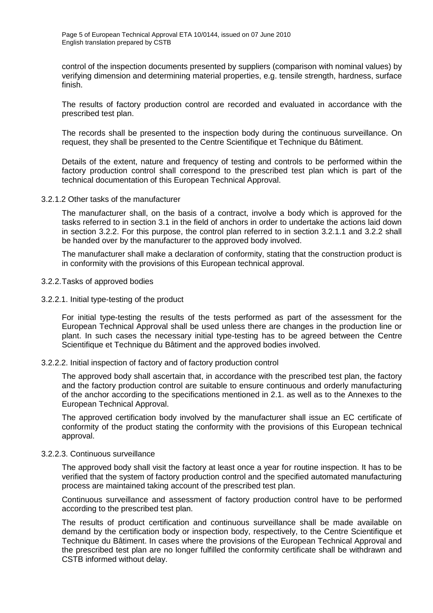control of the inspection documents presented by suppliers (comparison with nominal values) by verifying dimension and determining material properties, e.g. tensile strength, hardness, surface finish.

The results of factory production control are recorded and evaluated in accordance with the prescribed test plan.

The records shall be presented to the inspection body during the continuous surveillance. On request, they shall be presented to the Centre Scientifique et Technique du Bâtiment.

Details of the extent, nature and frequency of testing and controls to be performed within the factory production control shall correspond to the prescribed test plan which is part of the technical documentation of this European Technical Approval.

3.2.1.2 Other tasks of the manufacturer

The manufacturer shall, on the basis of a contract, involve a body which is approved for the tasks referred to in section 3.1 in the field of anchors in order to undertake the actions laid down in section 3.2.2. For this purpose, the control plan referred to in section 3.2.1.1 and 3.2.2 shall be handed over by the manufacturer to the approved body involved.

The manufacturer shall make a declaration of conformity, stating that the construction product is in conformity with the provisions of this European technical approval.

- 3.2.2.Tasks of approved bodies
- 3.2.2.1. Initial type-testing of the product

For initial type-testing the results of the tests performed as part of the assessment for the European Technical Approval shall be used unless there are changes in the production line or plant. In such cases the necessary initial type-testing has to be agreed between the Centre Scientifique et Technique du Bâtiment and the approved bodies involved.

#### 3.2.2.2. Initial inspection of factory and of factory production control

The approved body shall ascertain that, in accordance with the prescribed test plan, the factory and the factory production control are suitable to ensure continuous and orderly manufacturing of the anchor according to the specifications mentioned in 2.1. as well as to the Annexes to the European Technical Approval.

The approved certification body involved by the manufacturer shall issue an EC certificate of conformity of the product stating the conformity with the provisions of this European technical approval.

#### 3.2.2.3. Continuous surveillance

The approved body shall visit the factory at least once a year for routine inspection. It has to be verified that the system of factory production control and the specified automated manufacturing process are maintained taking account of the prescribed test plan.

Continuous surveillance and assessment of factory production control have to be performed according to the prescribed test plan.

The results of product certification and continuous surveillance shall be made available on demand by the certification body or inspection body, respectively, to the Centre Scientifique et Technique du Bâtiment. In cases where the provisions of the European Technical Approval and the prescribed test plan are no longer fulfilled the conformity certificate shall be withdrawn and CSTB informed without delay.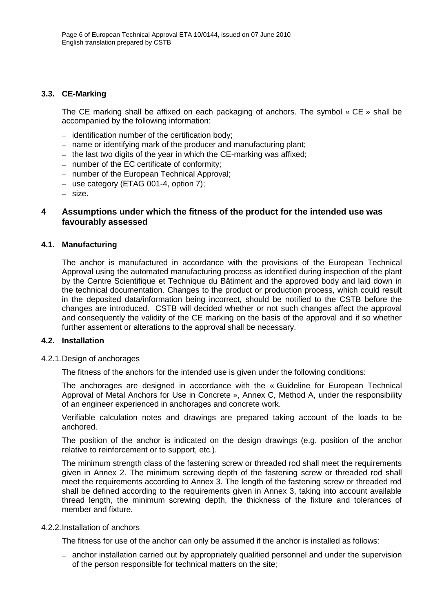### **3.3. CE-Marking**

The CE marking shall be affixed on each packaging of anchors. The symbol « CE » shall be accompanied by the following information:

- $-$  identification number of the certification body;
- name or identifying mark of the producer and manufacturing plant;
- $-$  the last two digits of the year in which the CE-marking was affixed;
- $-$  number of the EC certificate of conformity;
- number of the European Technical Approval;
- use category (ETAG 001-4, option 7);
- size.

### **4 Assumptions under which the fitness of the product for the intended use was favourably assessed**

### **4.1. Manufacturing**

The anchor is manufactured in accordance with the provisions of the European Technical Approval using the automated manufacturing process as identified during inspection of the plant by the Centre Scientifique et Technique du Bâtiment and the approved body and laid down in the technical documentation. Changes to the product or production process, which could result in the deposited data/information being incorrect, should be notified to the CSTB before the changes are introduced. CSTB will decided whether or not such changes affect the approval and consequently the validity of the CE marking on the basis of the approval and if so whether further assement or alterations to the approval shall be necessary.

#### **4.2. Installation**

### 4.2.1.Design of anchorages

The fitness of the anchors for the intended use is given under the following conditions:

The anchorages are designed in accordance with the « Guideline for European Technical Approval of Metal Anchors for Use in Concrete », Annex C, Method A, under the responsibility of an engineer experienced in anchorages and concrete work.

Verifiable calculation notes and drawings are prepared taking account of the loads to be anchored.

The position of the anchor is indicated on the design drawings (e.g. position of the anchor relative to reinforcement or to support, etc.).

The minimum strength class of the fastening screw or threaded rod shall meet the requirements given in Annex 2. The minimum screwing depth of the fastening screw or threaded rod shall meet the requirements according to Annex 3. The length of the fastening screw or threaded rod shall be defined according to the requirements given in Annex 3, taking into account available thread length, the minimum screwing depth, the thickness of the fixture and tolerances of member and fixture.

#### 4.2.2.Installation of anchors

The fitness for use of the anchor can only be assumed if the anchor is installed as follows:

- anchor installation carried out by appropriately qualified personnel and under the supervision of the person responsible for technical matters on the site;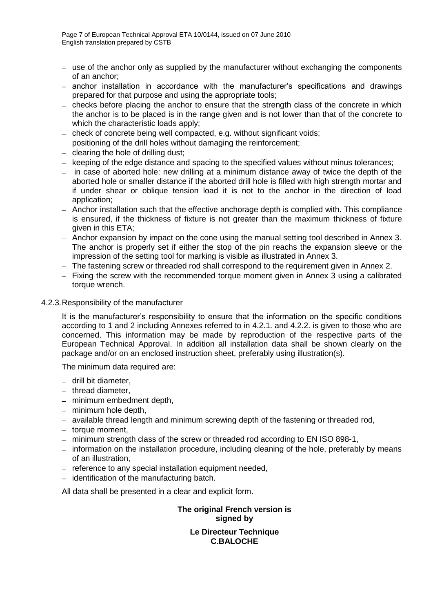- use of the anchor only as supplied by the manufacturer without exchanging the components of an anchor;
- anchor installation in accordance with the manufacturer's specifications and drawings prepared for that purpose and using the appropriate tools;
- $-$  checks before placing the anchor to ensure that the strength class of the concrete in which the anchor is to be placed is in the range given and is not lower than that of the concrete to which the characteristic loads apply;
- check of concrete being well compacted, e.g. without significant voids;
- positioning of the drill holes without damaging the reinforcement;
- $\overline{-}$  clearing the hole of drilling dust;
- keeping of the edge distance and spacing to the specified values without minus tolerances;
- $\overline{a}$  in case of aborted hole: new drilling at a minimum distance away of twice the depth of the aborted hole or smaller distance if the aborted drill hole is filled with high strength mortar and if under shear or oblique tension load it is not to the anchor in the direction of load application;
- Anchor installation such that the effective anchorage depth is complied with. This compliance is ensured, if the thickness of fixture is not greater than the maximum thickness of fixture given in this ETA;
- Anchor expansion by impact on the cone using the manual setting tool described in Annex 3. The anchor is properly set if either the stop of the pin reachs the expansion sleeve or the impression of the setting tool for marking is visible as illustrated in Annex 3.
- The fastening screw or threaded rod shall correspond to the requirement given in Annex 2.
- $-$  Fixing the screw with the recommended torque moment given in Annex 3 using a calibrated torque wrench.

### 4.2.3.Responsibility of the manufacturer

It is the manufacturer's responsibility to ensure that the information on the specific conditions according to 1 and 2 including Annexes referred to in 4.2.1. and 4.2.2. is given to those who are concerned. This information may be made by reproduction of the respective parts of the European Technical Approval. In addition all installation data shall be shown clearly on the package and/or on an enclosed instruction sheet, preferably using illustration(s).

The minimum data required are:

- drill bit diameter.
- $-$  thread diameter.
- minimum embedment depth,
- $-$  minimum hole depth,
- $-$  available thread length and minimum screwing depth of the fastening or threaded rod,
- $-$  torque moment.
- minimum strength class of the screw or threaded rod according to EN ISO 898-1,
- information on the installation procedure, including cleaning of the hole, preferably by means of an illustration,
- reference to any special installation equipment needed,
- $-$  identification of the manufacturing batch.

All data shall be presented in a clear and explicit form.

**The original French version is signed by Le Directeur Technique C.BALOCHE**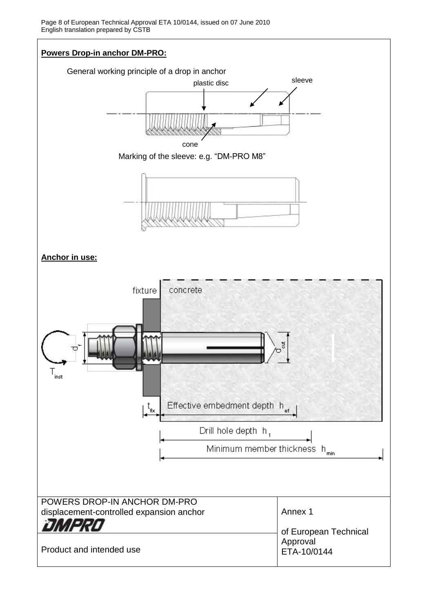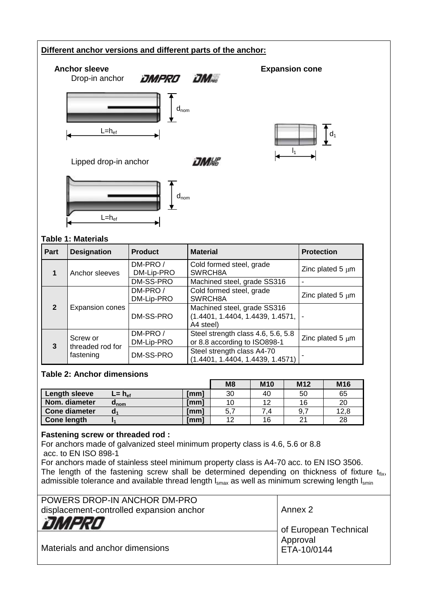### **Different anchor versions and different parts of the anchor:**



 $d_1$ 

Lipped drop-in anchor



### **Table 1: Materials**

| Part           |  | <b>Designation</b>           | <b>Product</b>        | <b>Material</b>                                                                       | <b>Protection</b>     |
|----------------|--|------------------------------|-----------------------|---------------------------------------------------------------------------------------|-----------------------|
|                |  | Anchor sleeves               | DM-PRO/<br>DM-Lip-PRO | Cold formed steel, grade<br>SWRCH8A                                                   | Zinc plated $5 \mu m$ |
|                |  |                              | DM-SS-PRO             | Machined steel, grade SS316                                                           |                       |
|                |  |                              | DM-PRO/<br>DM-Lip-PRO | Cold formed steel, grade<br>SWRCH8A                                                   | Zinc plated $5 \mu m$ |
| $\overline{2}$ |  | Expansion cones              | DM-SS-PRO             | Machined steel, grade SS316<br>$(1.4401, 1.4404, 1.4439, 1.4571, \cdot)$<br>A4 steel) |                       |
|                |  | Screw or<br>threaded rod for | DM-PRO/<br>DM-Lip-PRO | Steel strength class 4.6, 5.6, 5.8<br>or 8.8 according to ISO898-1                    | Zinc plated $5 \mu m$ |
| 3              |  | fastening                    | DM-SS-PRO             | Steel strength class A4-70<br>(1.4401, 1.4404, 1.4439, 1.4571)                        |                       |

### **Table 2: Anchor dimensions**

|                      |                         |      | M <sub>8</sub> | <b>M10</b> | M <sub>12</sub> | M16  |
|----------------------|-------------------------|------|----------------|------------|-----------------|------|
| Length sleeve        | $L = h_{\text{ef}}$     | [mm] | 30             | 40         | 50              | 65   |
| Nom. diameter        | $\mathbf{u}_\text{nom}$ | [mm] | 10             | 12         | 16              | 20   |
| <b>Cone diameter</b> |                         | [mm] |                |            | 9.              | 12,8 |
| Cone length          |                         | [mm] | 12             | 16         | 2 <sup>1</sup>  | 28   |

### **Fastening screw or threaded rod :**

For anchors made of galvanized steel minimum property class is 4.6, 5.6 or 8.8 acc. to EN ISO 898-1

For anchors made of stainless steel minimum property class is A4-70 acc. to EN ISO 3506. The length of the fastening screw shall be determined depending on thickness of fixture  $t_{fix}$ , admissible tolerance and available thread length  $I_{smax}$  as well as minimum screwing length  $I_{smin}$ 

| POWERS DROP-IN ANCHOR DM-PRO<br>displacement-controlled expansion anchor | Annex 2                 |
|--------------------------------------------------------------------------|-------------------------|
| OMPRO                                                                    | of European Technical   |
| Materials and anchor dimensions                                          | Approval<br>ETA-10/0144 |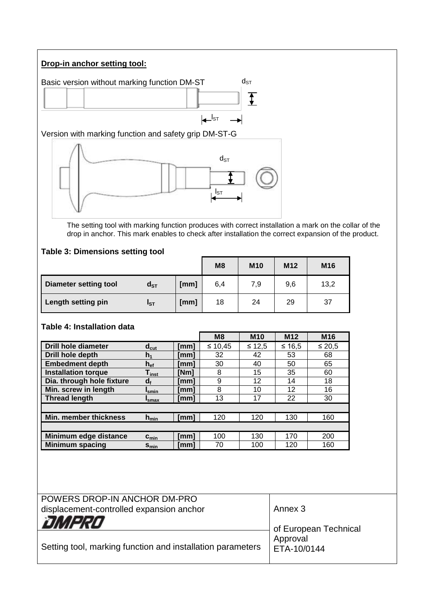### **Drop-in anchor setting tool:**



The setting tool with marking function produces with correct installation a mark on the collar of the drop in anchor. This mark enables to check after installation the correct expansion of the product.

### **Table 3: Dimensions setting tool**

|                              |          |      | M <sub>8</sub> | <b>M10</b> | M <sub>12</sub> | M16  |
|------------------------------|----------|------|----------------|------------|-----------------|------|
| <b>Diameter setting tool</b> | $d_{ST}$ | [mm] | 6,4            | 7,9        | 9,6             | 13,2 |
| Length setting pin           | $I_{ST}$ | [mm] | 18             | 24         | 29              | 37   |

### **Table 4: Installation data**

|                            |                              |      | M8      | <b>M10</b> | M <sub>12</sub> | M <sub>16</sub> |
|----------------------------|------------------------------|------|---------|------------|-----------------|-----------------|
| Drill hole diameter        | $d_{\text{cut}}$             | [mm] | ≤ 10,45 | $≤ 12,5$   | $≤ 16,5$        | ≤ 20,5          |
| Drill hole depth           | $h_1$                        | [mm] | 32      | 42         | 53              | 68              |
| <b>Embedment depth</b>     | $h_{ef}$                     | [mm] | 30      | 40         | 50              | 65              |
| <b>Installation torque</b> | $\mathsf{T}_{\mathsf{inst}}$ | [Nm] | 8       | 15         | 35              | 60              |
| Dia. through hole fixture  | $d_f$                        | [mm] | 9       | 12         | 14              | 18              |
| Min. screw in length       | Ismin                        | [mm] | 8       | 10         | 12              | 16              |
| <b>Thread length</b>       | 'smax                        | [mm] | 13      | 17         | 22              | 30              |
|                            |                              |      |         |            |                 |                 |
| Min. member thickness      | $h_{\text{min}}$             | [mm] | 120     | 120        | 130             | 160             |
|                            |                              |      |         |            |                 |                 |
| Minimum edge distance      | $c_{\min}$                   | [mm] | 100     | 130        | 170             | 200             |
| <b>Minimum spacing</b>     | $S_{min}$                    | [mm] | 70      | 100        | 120             | 160             |

| POWERS DROP-IN ANCHOR DM-PRO                               |                         |
|------------------------------------------------------------|-------------------------|
| displacement-controlled expansion anchor                   | Annex 3                 |
| DMPRO                                                      | of European Technical   |
| Setting tool, marking function and installation parameters | Approval<br>ETA-10/0144 |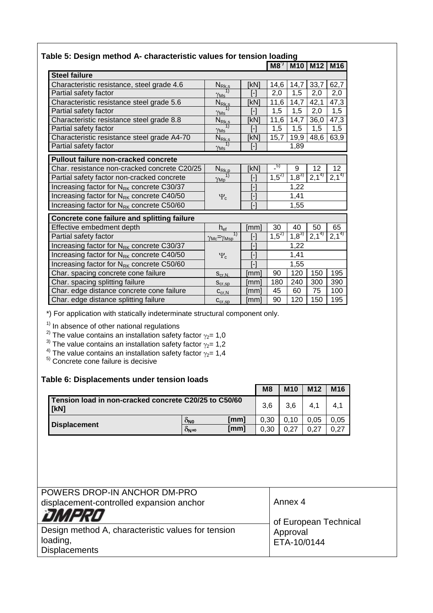| able 5: Design method A- characteristic values for tension loading |                                             |                                                                                                                                                                                                                                                                                                                                                                                                                                                                                                                                                                                                                                                                                                                                                                                      |               |            |           |           |  |
|--------------------------------------------------------------------|---------------------------------------------|--------------------------------------------------------------------------------------------------------------------------------------------------------------------------------------------------------------------------------------------------------------------------------------------------------------------------------------------------------------------------------------------------------------------------------------------------------------------------------------------------------------------------------------------------------------------------------------------------------------------------------------------------------------------------------------------------------------------------------------------------------------------------------------|---------------|------------|-----------|-----------|--|
|                                                                    |                                             |                                                                                                                                                                                                                                                                                                                                                                                                                                                                                                                                                                                                                                                                                                                                                                                      | $M8^{\gamma}$ | <b>M10</b> | $M12$ M16 |           |  |
| <b>Steel failure</b>                                               |                                             |                                                                                                                                                                                                                                                                                                                                                                                                                                                                                                                                                                                                                                                                                                                                                                                      |               |            |           |           |  |
| Characteristic resistance, steel grade 4.6                         | $N_{\text{Rk},\text{s}}$                    | [kN]                                                                                                                                                                                                                                                                                                                                                                                                                                                                                                                                                                                                                                                                                                                                                                                 | 14,6          | 14,7       | 33,7      | 62,7      |  |
| Partial safety factor                                              | $\gamma_{\mathsf{Ms}}$                      | $[\cdot] % \centering \includegraphics[width=0.9\textwidth]{images/TrDiS/N-Architecture.png} % \caption{The first two different values of $N$ in the \mbox{thick model} and the second two different values of $N$ in the \mbox{thick model} and the second two different values of $N$ in the \mbox{thick model} and the second two different values of $N$ in the \mbox{thick model} and the second two different values of $N$ in the \mbox{thick model} and the second two different values of $N$ in the \mbox{thick model} and the third two different values of $N$ in the \mbox{thick model} and the third two different values of $N$ in the \mbox{thick model} and the third two different values of $N$ in the \mbox{thick model} and the third two different values$     | 2,0           | 1,5        | 2,0       | 2,0       |  |
| Characteristic resistance steel grade 5.6                          | $N_{Rk,s}$                                  | [kN]                                                                                                                                                                                                                                                                                                                                                                                                                                                                                                                                                                                                                                                                                                                                                                                 | 11,6          | 14,7       | 42,1      | 47,3      |  |
| Partial safety factor                                              | 1)<br>$\gamma_{\rm Ms}$                     | $[\cdot] % \centering \includegraphics[width=0.9\textwidth]{images/TrDiS/N-Architecture.png} % \caption{The first two different values of $N$ in the \mbox{thick model} and the second two different values of $N$ in the \mbox{thick model} and the second two different values of $N$ in the \mbox{thick model} and the second two different values of $N$ in the \mbox{thick model} and the second two different values of $N$ in the \mbox{thick model} and the second two different values of $N$ in the \mbox{thick model} and the third two different values of $N$ in the \mbox{thick model} and the third two different values of $N$ in the \mbox{thick model} and the third two different values of $N$ in the \mbox{thick model} and the third two different values$     | 1,5           | 1,5        | 2,0       | 1,5       |  |
| Characteristic resistance steel grade 8.8                          | $N_{Rk,s}$                                  | [kN]                                                                                                                                                                                                                                                                                                                                                                                                                                                                                                                                                                                                                                                                                                                                                                                 | 11,6          | 14,7       | 36,0      | 47,3      |  |
| Partial safety factor                                              | $\gamma_{\rm Ms}$                           | $[\cdot]$                                                                                                                                                                                                                                                                                                                                                                                                                                                                                                                                                                                                                                                                                                                                                                            | 1,5           | 1,5        | 1,5       | 1,5       |  |
| Characteristic resistance steel grade A4-70                        | $N_{\rm Rk,s}$                              | [kN]                                                                                                                                                                                                                                                                                                                                                                                                                                                                                                                                                                                                                                                                                                                                                                                 | 15,7          | 19,9       | 48,6      | 63,9      |  |
| Partial safety factor                                              | $\gamma_{\rm Ms}$                           | $[\cdot] % \centering \includegraphics[width=0.9\columnwidth]{figures/fig_10.pdf} \caption{The graph $\mathcal{N}_1$ is a function of the number of times, and the number of times, and the number of times, respectively.} \label{fig:fig:1}$                                                                                                                                                                                                                                                                                                                                                                                                                                                                                                                                       |               | 1,89       |           |           |  |
| Pullout failure non-cracked concrete                               |                                             |                                                                                                                                                                                                                                                                                                                                                                                                                                                                                                                                                                                                                                                                                                                                                                                      |               |            |           |           |  |
| Char. resistance non-cracked concrete C20/25                       | $N_{\rm Rk,p}$                              | [kN]                                                                                                                                                                                                                                                                                                                                                                                                                                                                                                                                                                                                                                                                                                                                                                                 | $-5)$         | 9          | 12        | 12        |  |
| Partial safety factor non-cracked concrete                         | $\gamma_{\rm Mp}$                           | $[\cdot] % \centering \includegraphics[width=0.9\textwidth]{images/TrDiS/N-Architecture.png} % \caption{The first two different values of $N$ in the \mbox{thick model} and the second two different values of $N$ in the \mbox{thick model} and the second two different values of $N$ in the \mbox{thick model} and the second two different values of $N$ in the \mbox{thick model} and the second two different values of $N$ in the \mbox{thick model} and the second two different values of $N$ in the \mbox{thick model} and the second two different values of $N$ in the \mbox{thick model} and the second two different values of $N$ in the \mbox{thick model} and the second two different values of $N$ in the \mbox{thick model} and the second two different values$ | $1,5^{27}$    | $1,8^{3}$  | $2,1^{4}$ | $2,1^{4}$ |  |
| Increasing factor for N <sub>RK</sub> concrete C30/37              |                                             | $[\cdot]$                                                                                                                                                                                                                                                                                                                                                                                                                                                                                                                                                                                                                                                                                                                                                                            |               | 1,22       |           |           |  |
| Increasing factor for N <sub>RK</sub> concrete C40/50              | $\Psi_c$                                    | $[\cdot] % \centering \includegraphics[width=0.9\columnwidth]{figures/fig_10.pdf} \caption{The graph $\mathcal{N}_1$ is a function of the number of~\textit{N}_1$-error of the number of~\textit{N}_2$-error of the number of~\textit{N}_1$-error of the number of~\textit{N}_2$-error of the number of~\textit{N}_1$-error of the number of~\textit{N}_2$-error of the number of~\textit{N}_1$-error of the number of~\textit{N}_2$-error of the number of~\textit{N}_1$-error of the number of~\textit{N}_2$-error of the number of~\textit{N}_1$-error of the number of~\textit{N}_$                                                                                                                                                                                              |               | 1,41       |           |           |  |
| Increasing factor for N <sub>RK</sub> concrete C50/60              |                                             | $[$                                                                                                                                                                                                                                                                                                                                                                                                                                                                                                                                                                                                                                                                                                                                                                                  |               | 1,55       |           |           |  |
| Concrete cone failure and splitting failure                        |                                             |                                                                                                                                                                                                                                                                                                                                                                                                                                                                                                                                                                                                                                                                                                                                                                                      |               |            |           |           |  |
| Effective embedment depth                                          | $h_{\text{ef}}$                             | [mm]                                                                                                                                                                                                                                                                                                                                                                                                                                                                                                                                                                                                                                                                                                                                                                                 | 30            | 40         | 50        | 65        |  |
| Partial safety factor                                              | $\overline{1}$<br>$\gamma$ Mc $=\gamma$ Msp | $[\cdot] % \centering \includegraphics[width=0.9\columnwidth]{figures/fig_10.pdf} \caption{The graph $\mathcal{N}_1$ is a function of the number of~\textit{N}_1$ and the number of~\textit{N}_2$ is a function of the number of~\textit{N}_1$ (top) and the number of~\textit{N}_2$ (bottom) and the number of~\textit{N}_1$ (bottom) and the number of~\textit{N}_2$ (bottom) and the number of~\textit{N}_1$ (bottom) and the number of~\textit{N}_2$ (bottom) and the number of~\textit{N}_1$ (bottom) and the number of~\textit{N}_2$ (bottom) and the number of~\textit{N}_1$ (bottom) and the number$                                                                                                                                                                         | $1,5^{2}$     | $1,8^{3}$  | $2,1^{4}$ | $2,1^{4}$ |  |
| Increasing factor for N <sub>RK</sub> concrete C30/37              |                                             | $[\cdot]$                                                                                                                                                                                                                                                                                                                                                                                                                                                                                                                                                                                                                                                                                                                                                                            |               | 1,22       |           |           |  |
| Increasing factor for N <sub>RK</sub> concrete C40/50              | $\Psi_c$                                    | $[\cdot] % \centering \includegraphics[width=0.9\columnwidth]{figures/fig_10.pdf} \caption{The graph $\mathcal{N}_1$ is a function of the number of~\textit{N}_1$-error of the number of~\textit{N}_2$-error of the number of~\textit{N}_1$-error of the number of~\textit{N}_2$-error of the number of~\textit{N}_1$-error of the number of~\textit{N}_2$-error of the number of~\textit{N}_1$-error of the number of~\textit{N}_2$-error of the number of~\textit{N}_1$-error of the number of~\textit{N}_2$-error of the number of~\textit{N}_1$-error of the number of~\textit{N}_$                                                                                                                                                                                              |               | 1,41       |           |           |  |
| Increasing factor for N <sub>RK</sub> concrete C50/60              |                                             | $[\cdot] % \centering \includegraphics[width=0.9\columnwidth]{figures/fig_10.pdf} \caption{The graph $\mathcal{N}_1$ is a function of the input and the number of input regions.} \label{fig:1} %$                                                                                                                                                                                                                                                                                                                                                                                                                                                                                                                                                                                   |               | 1,55       |           |           |  |
| Char. spacing concrete cone failure                                | $S_{\text{cr},N}$                           | [mm]                                                                                                                                                                                                                                                                                                                                                                                                                                                                                                                                                                                                                                                                                                                                                                                 | 90            | 120        | 150       | 195       |  |
| Char. spacing splitting failure                                    | $S_{cr,SD}$                                 | [mm]                                                                                                                                                                                                                                                                                                                                                                                                                                                                                                                                                                                                                                                                                                                                                                                 | 180           | 240        | 300       | 390       |  |
| Char. edge distance concrete cone failure                          | $C_{\text{cr,N}}$                           | [mm]                                                                                                                                                                                                                                                                                                                                                                                                                                                                                                                                                                                                                                                                                                                                                                                 | 45            | 60         | 75        | 100       |  |
| Char. edge distance splitting failure                              | $C_{cr,sp}$                                 | [mm]                                                                                                                                                                                                                                                                                                                                                                                                                                                                                                                                                                                                                                                                                                                                                                                 | 90            | 120        | 150       | 195       |  |

### **Table 5: Design method A- characteristic values for tension loading**

\*) For application with statically indeterminate structural component only.

 $1)$  In absence of other national regulations

<sup>2)</sup> The value contains an installation safety factor  $\gamma_2$ = 1,0

<sup>3)</sup> The value contains an installation safety factor  $\gamma_2$ = 1,2

 $^{4)}$  The value contains an installation safety factor  $\gamma_2$ = 1,4

<sup>5)</sup> Concrete cone failure is decisive

### **Table 6: Displacements under tension loads**

|                                                               |                                | M <sub>8</sub> | <b>M10</b> | M <sub>12</sub> | M <sub>16</sub> |
|---------------------------------------------------------------|--------------------------------|----------------|------------|-----------------|-----------------|
| Tension load in non-cracked concrete C20/25 to C50/60<br>[kN] |                                |                | 3.6        | 4.1             | 4.1             |
| [mm]<br>O <sub>N0</sub>                                       |                                | 0.30           | 0.10       | 0.05            | 0.05            |
| <b>Displacement</b>                                           | [mm]<br>$0_{\mathsf{N}}\infty$ | 0.30           | ሰ 27       |                 | 0.27            |

| POWERS DROP-IN ANCHOR DM-PRO                       | Annex 4               |
|----------------------------------------------------|-----------------------|
| displacement-controlled expansion anchor           |                       |
| DMPRO                                              | of European Technical |
| Design method A, characteristic values for tension | Approval              |
| loading,                                           | ETA-10/0144           |
| <b>Displacements</b>                               |                       |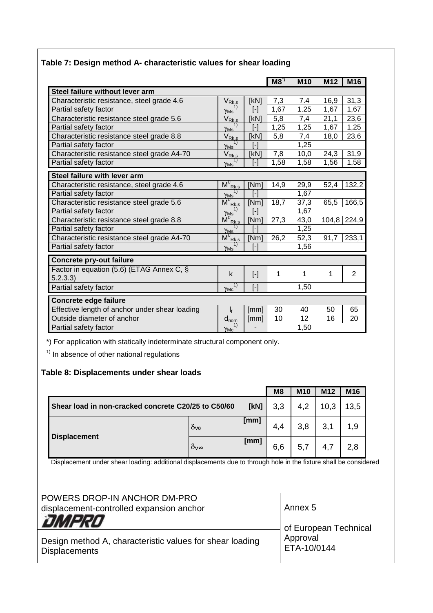|                                                      |                                                                                       |                                                                                                                                                                                                                                                                                                                                                                                                                                                                                                                                                                                                                                                                                                                                                                                  | $M8^{\gamma}$ | <b>M10</b> | M12   | M16            |
|------------------------------------------------------|---------------------------------------------------------------------------------------|----------------------------------------------------------------------------------------------------------------------------------------------------------------------------------------------------------------------------------------------------------------------------------------------------------------------------------------------------------------------------------------------------------------------------------------------------------------------------------------------------------------------------------------------------------------------------------------------------------------------------------------------------------------------------------------------------------------------------------------------------------------------------------|---------------|------------|-------|----------------|
| Steel failure without lever arm                      |                                                                                       |                                                                                                                                                                                                                                                                                                                                                                                                                                                                                                                                                                                                                                                                                                                                                                                  |               |            |       |                |
| Characteristic resistance, steel grade 4.6           | $V_{Rk,s}$                                                                            | [kN]                                                                                                                                                                                                                                                                                                                                                                                                                                                                                                                                                                                                                                                                                                                                                                             | 7,3           | 7.4        | 16,9  | 31,3           |
| Partial safety factor                                | 1)<br>$\gamma_{\mathsf{Ms}}$                                                          | $[\cdot]$                                                                                                                                                                                                                                                                                                                                                                                                                                                                                                                                                                                                                                                                                                                                                                        | 1,67          | 1.25       | 1,67  | 1,67           |
| Characteristic resistance steel grade 5.6            | $V_{Rk,s}$                                                                            | [kN]                                                                                                                                                                                                                                                                                                                                                                                                                                                                                                                                                                                                                                                                                                                                                                             | 5,8           | 7,4        | 21,1  | 23,6           |
| Partial safety factor                                | 1)<br>$\gamma_{\rm Ms}$                                                               | $[\cdot]$                                                                                                                                                                                                                                                                                                                                                                                                                                                                                                                                                                                                                                                                                                                                                                        | 1,25          | 1,25       | 1,67  | 1,25           |
| Characteristic resistance steel grade 8.8            | $V_{Rk,s}$                                                                            | [kN]                                                                                                                                                                                                                                                                                                                                                                                                                                                                                                                                                                                                                                                                                                                                                                             | 5,8           | 7,4        | 18,0  | 23,6           |
| Partial safety factor                                | $\gamma_{\rm Ms}$                                                                     | $[\cdot] % \centering \includegraphics[width=0.9\textwidth]{images/TrDiS/N-Architecture.png} % \caption{The first two different values of $N$ in the \mbox{thick model} and the second two different values of $N$ in the \mbox{thick model} and the second two different values of $N$ in the \mbox{thick model} and the second two different values of $N$ in the \mbox{thick model} and the second two different values of $N$ in the \mbox{thick model} and the second two different values of $N$ in the \mbox{thick model} and the third two different values of $N$ in the \mbox{thick model} and the third two different values of $N$ in the \mbox{thick model} and the third two different values of $N$ in the \mbox{thick model} and the third two different values$ |               | 1,25       |       |                |
| Characteristic resistance steel grade A4-70          | $V_{Rk, s}$                                                                           | [kN]                                                                                                                                                                                                                                                                                                                                                                                                                                                                                                                                                                                                                                                                                                                                                                             | 7,8           | 10,0       | 24,3  | 31,9           |
| Partial safety factor                                | $\gamma_{\rm Ms}$                                                                     | $[\cdot] % \centering % {\includegraphics[width=0.9\textwidth]{images/TrDiS/NR_WM1.png} } % \caption{The figure shows the results of the estimators in the left and right.} \label{TrDiS/NR_WM1} %$                                                                                                                                                                                                                                                                                                                                                                                                                                                                                                                                                                              | 1,58          | 1,58       | 1,56  | 1,58           |
| Steel failure with lever arm                         |                                                                                       |                                                                                                                                                                                                                                                                                                                                                                                                                                                                                                                                                                                                                                                                                                                                                                                  |               |            |       |                |
| Characteristic resistance, steel grade 4.6           | $\overline{M}^0_{\ Rk, s}$                                                            | [Nm]                                                                                                                                                                                                                                                                                                                                                                                                                                                                                                                                                                                                                                                                                                                                                                             | 14,9          | 29,9       | 52,4  | 132,2          |
| Partial safety factor                                | 1)<br>$\gamma_{\rm Ms}$                                                               | $[\cdot] % \centering \includegraphics[width=0.9\textwidth]{images/TrDiS/N-Architecture.png} % \caption{The first two different values of $N$ in the \mbox{thick model} and the second two different values of $N$ in the \mbox{thick model} and the second two different values of $N$ in the \mbox{thick model} and the second two different values of $N$ in the \mbox{thick model} and the second two different values of $N$ in the \mbox{thick model} and the second two different values of $N$ in the \mbox{thick model} and the third two different values of $N$ in the \mbox{thick model} and the third two different values of $N$ in the \mbox{thick model} and the third two different values of $N$ in the \mbox{thick model} and the third two different values$ |               | 1,67       |       |                |
| Characteristic resistance steel grade 5.6            | $\overline{\mathsf{M}}_{\textrm{Rk},\textrm{s}}^{0}$                                  | [Nm]                                                                                                                                                                                                                                                                                                                                                                                                                                                                                                                                                                                                                                                                                                                                                                             | 18,7          | 37,3       | 65,5  | 166,5          |
| Partial safety factor                                | 1)                                                                                    | $[\cdot] % \centering % {\includegraphics[width=0.9\textwidth]{images/TrDiS/NR_WM1.png} } % \caption{The figure shows the results of the estimators in the left and right.} \label{TrDiS/NR_WM1} %$                                                                                                                                                                                                                                                                                                                                                                                                                                                                                                                                                                              |               | 1,67       |       |                |
| Characteristic resistance steel grade 8.8            | $\frac{\gamma_{\mathsf{Ms}}^{\prime\prime}}{\mathsf{M^{0}}_{\mathsf{Rk},\mathsf{s}}}$ | [Nm]                                                                                                                                                                                                                                                                                                                                                                                                                                                                                                                                                                                                                                                                                                                                                                             | 27,3          | 43,0       | 104,8 | 224,9          |
| Partial safety factor                                |                                                                                       | $[\cdot] % \centering % {\includegraphics[width=0.9\textwidth]{images/TrDiS/NR_WM1.png} } % \caption{The figure shows the results of the estimators in the left and right.} \label{TrDiS/NR_WM1} %$                                                                                                                                                                                                                                                                                                                                                                                                                                                                                                                                                                              |               | 1,25       |       |                |
| Characteristic resistance steel grade A4-70          | $\frac{\gamma_{\mathsf{Ms}}^{\prime\prime}}{\mathsf{M_{\mathsf{Rk},s}^0}}$            | [Nm]                                                                                                                                                                                                                                                                                                                                                                                                                                                                                                                                                                                                                                                                                                                                                                             | 26,2          | 52,3       | 91,7  | 233,1          |
| Partial safety factor                                | $\gamma_{\rm Ms}$                                                                     | $[\cdot]$                                                                                                                                                                                                                                                                                                                                                                                                                                                                                                                                                                                                                                                                                                                                                                        |               | 1,56       |       |                |
| <b>Concrete pry-out failure</b>                      |                                                                                       |                                                                                                                                                                                                                                                                                                                                                                                                                                                                                                                                                                                                                                                                                                                                                                                  |               |            |       |                |
| Factor in equation (5.6) (ETAG Annex C, §<br>5.2.3.3 | $\mathsf k$                                                                           | $[\cdot]$                                                                                                                                                                                                                                                                                                                                                                                                                                                                                                                                                                                                                                                                                                                                                                        | 1             | 1          | 1     | $\overline{2}$ |
| Partial safety factor                                | 1)<br>$\gamma_{\text{Mc}}$                                                            | $[\cdot]$                                                                                                                                                                                                                                                                                                                                                                                                                                                                                                                                                                                                                                                                                                                                                                        |               | 1,50       |       |                |
| Concrete edge failure                                |                                                                                       |                                                                                                                                                                                                                                                                                                                                                                                                                                                                                                                                                                                                                                                                                                                                                                                  |               |            |       |                |
| Effective length of anchor under shear loading       | $\mathsf{I}_{\mathsf{f}}$                                                             | [mm]                                                                                                                                                                                                                                                                                                                                                                                                                                                                                                                                                                                                                                                                                                                                                                             | 30            | 40         | 50    | 65             |
| Outside diameter of anchor                           | $d_{nom}$                                                                             | [mm]                                                                                                                                                                                                                                                                                                                                                                                                                                                                                                                                                                                                                                                                                                                                                                             | 10            | 12         | 16    | 20             |
| Partial safety factor                                | 1)<br>$\gamma_{\textsf{Mc}}$                                                          |                                                                                                                                                                                                                                                                                                                                                                                                                                                                                                                                                                                                                                                                                                                                                                                  |               | 1,50       |       |                |

### **Table 7: Design method A- characteristic values for shear loading**

\*) For application with statically indeterminate structural component only.

 $<sup>1</sup>$  In absence of other national regulations</sup>

### **Table 8: Displacements under shear loads**

|                                                             |                         |      | M <sub>8</sub> | <b>M10</b> | M <sub>12</sub> | M16 |
|-------------------------------------------------------------|-------------------------|------|----------------|------------|-----------------|-----|
| [KN]<br>Shear load in non-cracked concrete C20/25 to C50/60 |                         | 3,3  | 4,2            | 10,3       | 13,5            |     |
|                                                             | $\delta_{\mathsf{V0}}$  | [mm] | 4,4            | 3,8        | 3,1             | 1,9 |
| <b>Displacement</b>                                         | $\delta v$ <sub>∞</sub> | [mm] | 6,6            | 5,7        |                 | 2,8 |

Displacement under shear loading: additional displacements due to through hole in the fixture shall be considered

| POWERS DROP-IN ANCHOR DM-PRO<br>displacement-controlled expansion anchor         | Annex 5                 |
|----------------------------------------------------------------------------------|-------------------------|
| <b>DMPRO</b>                                                                     | of European Technical   |
| Design method A, characteristic values for shear loading<br><b>Displacements</b> | Approval<br>ETA-10/0144 |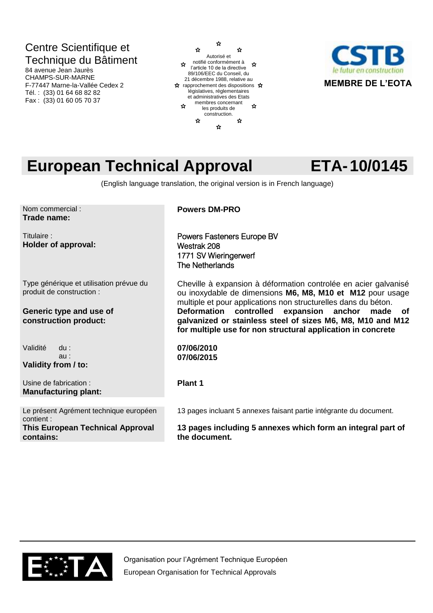## Centre Scientifique et Technique du Bâtiment

84 avenue Jean Jaurès CHAMPS-SUR-MARNE F-77447 Marne-la-Vallée Cedex 2 Tél. : (33) 01 64 68 82 82 Fax : (33) 01 60 05 70 37





## **European Technical Approval ETA-10/0145**

(English language translation, the original version is in French language)

Nom commercial : **Trade name:** 

Titulaire : **Holder of approval:** 

Type générique et utilisation prévue du produit de construction :

### **Generic type and use of construction product:**

Validité du : au :

**Validity from / to:**

Usine de fabrication : **Manufacturing plant:**

Le présent Agrément technique européen contient : **This European Technical Approval contains:**

**Powers DM-PRO**

Powers Fasteners Europe BV Westrak 208 1771 SV Wieringerwerf The Netherlands

Cheville à expansion à déformation controlée en acier galvanisé ou inoxydable de dimensions **M6, M8, M10 et M12** pour usage multiple et pour applications non structurelles dans du béton. **Deformation controlled expansion anchor made of galvanized or stainless steel of sizes M6, M8, M10 and M12 for multiple use for non structural application in concrete**

**07/06/2010 07/06/2015**

**Plant 1**

13 pages incluant 5 annexes faisant partie intégrante du document.

**13 pages including 5 annexes which form an integral part of the document.**

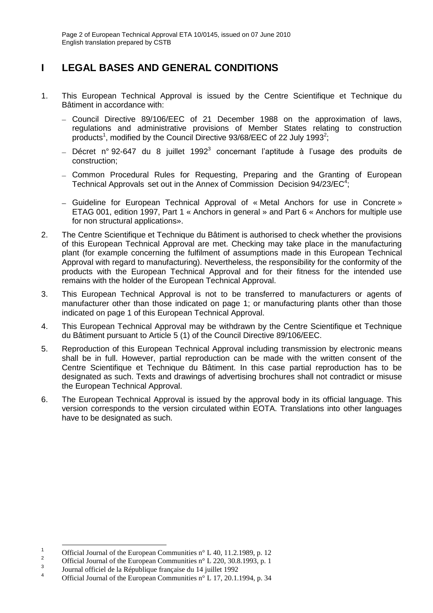## **I LEGAL BASES AND GENERAL CONDITIONS**

- 1. This European Technical Approval is issued by the Centre Scientifique et Technique du Bâtiment in accordance with:
	- Council Directive 89/106/EEC of 21 December 1988 on the approximation of laws, regulations and administrative provisions of Member States relating to construction products<sup>1</sup>, modified by the Council Directive 93/68/EEC of 22 July 1993<sup>2</sup>;
	- Décret n° 92-647 du 8 juillet 1992<sup>3</sup> concernant l'aptitude à l'usage des produits de construction;
	- Common Procedural Rules for Requesting, Preparing and the Granting of European Technical Approvals set out in the Annex of Commission Decision 94/23/EC<sup>4</sup>;
	- Guideline for European Technical Approval of « Metal Anchors for use in Concrete » ETAG 001, edition 1997, Part 1 « Anchors in general » and Part 6 « Anchors for multiple use for non structural applications».
- 2. The Centre Scientifique et Technique du Bâtiment is authorised to check whether the provisions of this European Technical Approval are met. Checking may take place in the manufacturing plant (for example concerning the fulfilment of assumptions made in this European Technical Approval with regard to manufacturing). Nevertheless, the responsibility for the conformity of the products with the European Technical Approval and for their fitness for the intended use remains with the holder of the European Technical Approval.
- 3. This European Technical Approval is not to be transferred to manufacturers or agents of manufacturer other than those indicated on page 1; or manufacturing plants other than those indicated on page 1 of this European Technical Approval.
- 4. This European Technical Approval may be withdrawn by the Centre Scientifique et Technique du Bâtiment pursuant to Article 5 (1) of the Council Directive 89/106/EEC.
- 5. Reproduction of this European Technical Approval including transmission by electronic means shall be in full. However, partial reproduction can be made with the written consent of the Centre Scientifique et Technique du Bâtiment. In this case partial reproduction has to be designated as such. Texts and drawings of advertising brochures shall not contradict or misuse the European Technical Approval.
- 6. The European Technical Approval is issued by the approval body in its official language. This version corresponds to the version circulated within EOTA. Translations into other languages have to be designated as such.

-

<sup>&</sup>lt;sup>1</sup> Official Journal of the European Communities n° L 40, 11.2.1989, p. 12<sup>2</sup>

Official Journal of the European Communities n° L 220, 30.8.1993, p. 1 3

Journal officiel de la République française du 14 juillet 1992

<sup>4</sup> Official Journal of the European Communities n° L 17, 20.1.1994, p. 34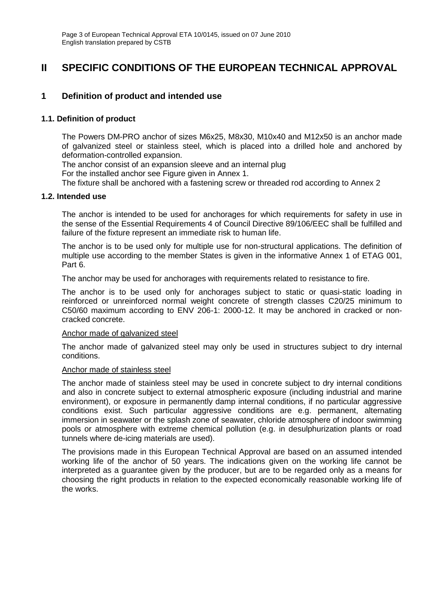### **II SPECIFIC CONDITIONS OF THE EUROPEAN TECHNICAL APPROVAL**

### **1 Definition of product and intended use**

### **1.1. Definition of product**

The Powers DM-PRO anchor of sizes M6x25, M8x30, M10x40 and M12x50 is an anchor made of galvanized steel or stainless steel, which is placed into a drilled hole and anchored by deformation-controlled expansion.

The anchor consist of an expansion sleeve and an internal plug

For the installed anchor see Figure given in Annex 1.

The fixture shall be anchored with a fastening screw or threaded rod according to Annex 2

### **1.2. Intended use**

The anchor is intended to be used for anchorages for which requirements for safety in use in the sense of the Essential Requirements 4 of Council Directive 89/106/EEC shall be fulfilled and failure of the fixture represent an immediate risk to human life.

The anchor is to be used only for multiple use for non-structural applications. The definition of multiple use according to the member States is given in the informative Annex 1 of ETAG 001, Part 6.

The anchor may be used for anchorages with requirements related to resistance to fire.

The anchor is to be used only for anchorages subject to static or quasi-static loading in reinforced or unreinforced normal weight concrete of strength classes C20/25 minimum to C50/60 maximum according to ENV 206-1: 2000-12. It may be anchored in cracked or noncracked concrete.

#### Anchor made of galvanized steel

The anchor made of galvanized steel may only be used in structures subject to dry internal conditions.

#### Anchor made of stainless steel

The anchor made of stainless steel may be used in concrete subject to dry internal conditions and also in concrete subject to external atmospheric exposure (including industrial and marine environment), or exposure in permanently damp internal conditions, if no particular aggressive conditions exist. Such particular aggressive conditions are e.g. permanent, alternating immersion in seawater or the splash zone of seawater, chloride atmosphere of indoor swimming pools or atmosphere with extreme chemical pollution (e.g. in desulphurization plants or road tunnels where de-icing materials are used).

The provisions made in this European Technical Approval are based on an assumed intended working life of the anchor of 50 years. The indications given on the working life cannot be interpreted as a guarantee given by the producer, but are to be regarded only as a means for choosing the right products in relation to the expected economically reasonable working life of the works.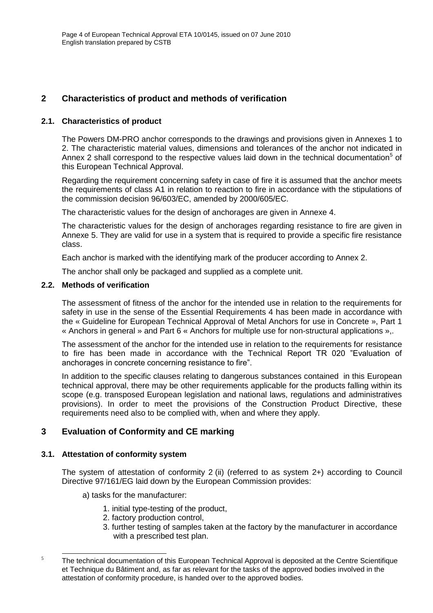### **2 Characteristics of product and methods of verification**

### **2.1. Characteristics of product**

The Powers DM-PRO anchor corresponds to the drawings and provisions given in Annexes 1 to 2. The characteristic material values, dimensions and tolerances of the anchor not indicated in Annex 2 shall correspond to the respective values laid down in the technical documentation<sup>5</sup> of this European Technical Approval.

Regarding the requirement concerning safety in case of fire it is assumed that the anchor meets the requirements of class A1 in relation to reaction to fire in accordance with the stipulations of the commission decision 96/603/EC, amended by 2000/605/EC.

The characteristic values for the design of anchorages are given in Annexe 4.

The characteristic values for the design of anchorages regarding resistance to fire are given in Annexe 5. They are valid for use in a system that is required to provide a specific fire resistance class.

Each anchor is marked with the identifying mark of the producer according to Annex 2.

The anchor shall only be packaged and supplied as a complete unit.

### **2.2. Methods of verification**

The assessment of fitness of the anchor for the intended use in relation to the requirements for safety in use in the sense of the Essential Requirements 4 has been made in accordance with the « Guideline for European Technical Approval of Metal Anchors for use in Concrete », Part 1 « Anchors in general » and Part 6 « Anchors for multiple use for non-structural applications »,.

The assessment of the anchor for the intended use in relation to the requirements for resistance to fire has been made in accordance with the Technical Report TR 020 "Evaluation of anchorages in concrete concerning resistance to fire".

In addition to the specific clauses relating to dangerous substances contained in this European technical approval, there may be other requirements applicable for the products falling within its scope (e.g. transposed European legislation and national laws, regulations and administratives provisions). In order to meet the provisions of the Construction Product Directive, these requirements need also to be complied with, when and where they apply.

### **3 Evaluation of Conformity and CE marking**

### **3.1. Attestation of conformity system**

The system of attestation of conformity 2 (ii) (referred to as system 2+) according to Council Directive 97/161/EG laid down by the European Commission provides:

- a) tasks for the manufacturer:
	- 1. initial type-testing of the product,
	- 2. factory production control,
	- 3. further testing of samples taken at the factory by the manufacturer in accordance with a prescribed test plan.

<sup>-</sup> $5$  The technical documentation of this European Technical Approval is deposited at the Centre Scientifique et Technique du Bâtiment and, as far as relevant for the tasks of the approved bodies involved in the attestation of conformity procedure, is handed over to the approved bodies.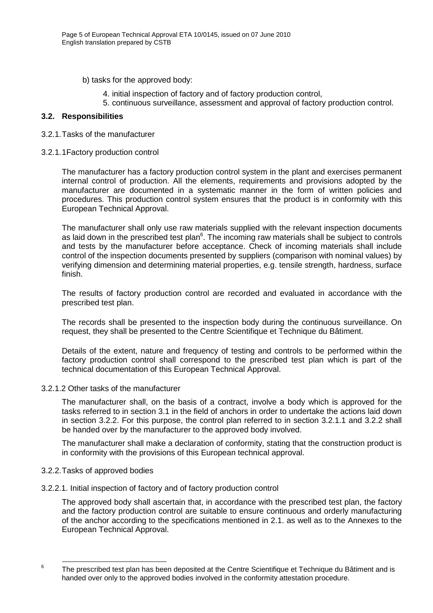- b) tasks for the approved body:
	- 4. initial inspection of factory and of factory production control,
	- 5. continuous surveillance, assessment and approval of factory production control.

### **3.2. Responsibilities**

#### 3.2.1.Tasks of the manufacturer

3.2.1.1Factory production control

The manufacturer has a factory production control system in the plant and exercises permanent internal control of production. All the elements, requirements and provisions adopted by the manufacturer are documented in a systematic manner in the form of written policies and procedures. This production control system ensures that the product is in conformity with this European Technical Approval.

The manufacturer shall only use raw materials supplied with the relevant inspection documents as laid down in the prescribed test plan $6$ . The incoming raw materials shall be subject to controls and tests by the manufacturer before acceptance. Check of incoming materials shall include control of the inspection documents presented by suppliers (comparison with nominal values) by verifying dimension and determining material properties, e.g. tensile strength, hardness, surface finish.

The results of factory production control are recorded and evaluated in accordance with the prescribed test plan.

The records shall be presented to the inspection body during the continuous surveillance. On request, they shall be presented to the Centre Scientifique et Technique du Bâtiment.

Details of the extent, nature and frequency of testing and controls to be performed within the factory production control shall correspond to the prescribed test plan which is part of the technical documentation of this European Technical Approval.

3.2.1.2 Other tasks of the manufacturer

The manufacturer shall, on the basis of a contract, involve a body which is approved for the tasks referred to in section 3.1 in the field of anchors in order to undertake the actions laid down in section 3.2.2. For this purpose, the control plan referred to in section 3.2.1.1 and 3.2.2 shall be handed over by the manufacturer to the approved body involved.

The manufacturer shall make a declaration of conformity, stating that the construction product is in conformity with the provisions of this European technical approval.

### 3.2.2.Tasks of approved bodies

3.2.2.1. Initial inspection of factory and of factory production control

The approved body shall ascertain that, in accordance with the prescribed test plan, the factory and the factory production control are suitable to ensure continuous and orderly manufacturing of the anchor according to the specifications mentioned in 2.1. as well as to the Annexes to the European Technical Approval.

-

<sup>6</sup>

The prescribed test plan has been deposited at the Centre Scientifique et Technique du Bâtiment and is handed over only to the approved bodies involved in the conformity attestation procedure.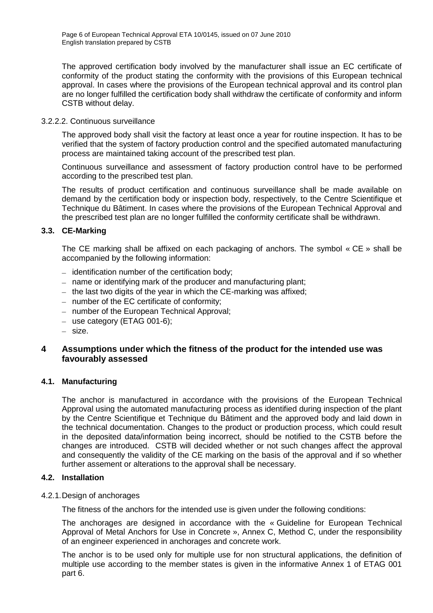The approved certification body involved by the manufacturer shall issue an EC certificate of conformity of the product stating the conformity with the provisions of this European technical approval. In cases where the provisions of the European technical approval and its control plan are no longer fulfilled the certification body shall withdraw the certificate of conformity and inform CSTB without delay.

### 3.2.2.2. Continuous surveillance

The approved body shall visit the factory at least once a year for routine inspection. It has to be verified that the system of factory production control and the specified automated manufacturing process are maintained taking account of the prescribed test plan.

Continuous surveillance and assessment of factory production control have to be performed according to the prescribed test plan.

The results of product certification and continuous surveillance shall be made available on demand by the certification body or inspection body, respectively, to the Centre Scientifique et Technique du Bâtiment. In cases where the provisions of the European Technical Approval and the prescribed test plan are no longer fulfilled the conformity certificate shall be withdrawn.

### **3.3. CE-Marking**

The CE marking shall be affixed on each packaging of anchors. The symbol « CE » shall be accompanied by the following information:

- $-$  identification number of the certification body;
- name or identifying mark of the producer and manufacturing plant;
- $-$  the last two digits of the year in which the CE-marking was affixed;
- $-$  number of the EC certificate of conformity;
- number of the European Technical Approval;
- $-$  use category (ETAG 001-6);
- size.

### **4 Assumptions under which the fitness of the product for the intended use was favourably assessed**

### **4.1. Manufacturing**

The anchor is manufactured in accordance with the provisions of the European Technical Approval using the automated manufacturing process as identified during inspection of the plant by the Centre Scientifique et Technique du Bâtiment and the approved body and laid down in the technical documentation. Changes to the product or production process, which could result in the deposited data/information being incorrect, should be notified to the CSTB before the changes are introduced. CSTB will decided whether or not such changes affect the approval and consequently the validity of the CE marking on the basis of the approval and if so whether further assement or alterations to the approval shall be necessary.

### **4.2. Installation**

4.2.1.Design of anchorages

The fitness of the anchors for the intended use is given under the following conditions:

The anchorages are designed in accordance with the « Guideline for European Technical Approval of Metal Anchors for Use in Concrete », Annex C, Method C, under the responsibility of an engineer experienced in anchorages and concrete work.

The anchor is to be used only for multiple use for non structural applications, the definition of multiple use according to the member states is given in the informative Annex 1 of ETAG 001 part 6.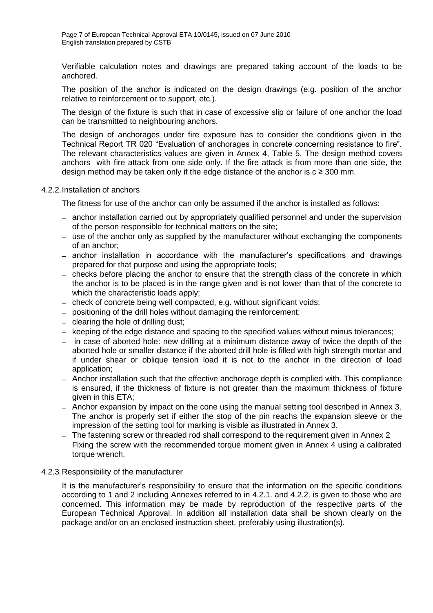Verifiable calculation notes and drawings are prepared taking account of the loads to be anchored.

The position of the anchor is indicated on the design drawings (e.g. position of the anchor relative to reinforcement or to support, etc.).

The design of the fixture is such that in case of excessive slip or failure of one anchor the load can be transmitted to neighbouring anchors.

The design of anchorages under fire exposure has to consider the conditions given in the Technical Report TR 020 "Evaluation of anchorages in concrete concerning resistance to fire". The relevant characteristics values are given in Annex 4, Table 5. The design method covers anchors with fire attack from one side only. If the fire attack is from more than one side, the design method may be taken only if the edge distance of the anchor is  $c \ge 300$  mm.

#### 4.2.2.Installation of anchors

The fitness for use of the anchor can only be assumed if the anchor is installed as follows:

- anchor installation carried out by appropriately qualified personnel and under the supervision of the person responsible for technical matters on the site;
- use of the anchor only as supplied by the manufacturer without exchanging the components of an anchor;
- anchor installation in accordance with the manufacturer's specifications and drawings prepared for that purpose and using the appropriate tools;
- checks before placing the anchor to ensure that the strength class of the concrete in which the anchor is to be placed is in the range given and is not lower than that of the concrete to which the characteristic loads apply;
- check of concrete being well compacted, e.g. without significant voids;
- positioning of the drill holes without damaging the reinforcement;
- $-$  clearing the hole of drilling dust;
- keeping of the edge distance and spacing to the specified values without minus tolerances;
- $\overline{a}$  in case of aborted hole: new drilling at a minimum distance away of twice the depth of the aborted hole or smaller distance if the aborted drill hole is filled with high strength mortar and if under shear or oblique tension load it is not to the anchor in the direction of load application;
- Anchor installation such that the effective anchorage depth is complied with. This compliance is ensured, if the thickness of fixture is not greater than the maximum thickness of fixture given in this ETA;
- Anchor expansion by impact on the cone using the manual setting tool described in Annex 3. The anchor is properly set if either the stop of the pin reachs the expansion sleeve or the impression of the setting tool for marking is visible as illustrated in Annex 3.
- The fastening screw or threaded rod shall correspond to the requirement given in Annex 2
- Fixing the screw with the recommended torque moment given in Annex 4 using a calibrated torque wrench.

#### 4.2.3.Responsibility of the manufacturer

It is the manufacturer's responsibility to ensure that the information on the specific conditions according to 1 and 2 including Annexes referred to in 4.2.1. and 4.2.2. is given to those who are concerned. This information may be made by reproduction of the respective parts of the European Technical Approval. In addition all installation data shall be shown clearly on the package and/or on an enclosed instruction sheet, preferably using illustration(s).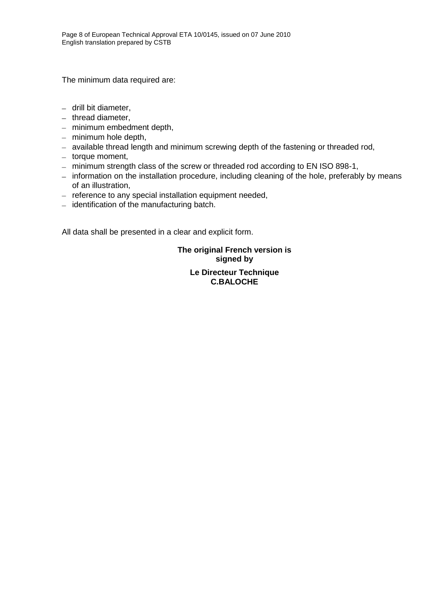The minimum data required are:

- $-$  drill bit diameter,
- $-$  thread diameter,
- minimum embedment depth,
- $-$  minimum hole depth,
- available thread length and minimum screwing depth of the fastening or threaded rod,
- $-$  torque moment,
- minimum strength class of the screw or threaded rod according to EN ISO 898-1,
- information on the installation procedure, including cleaning of the hole, preferably by means of an illustration,
- $-$  reference to any special installation equipment needed,
- $-$  identification of the manufacturing batch.

All data shall be presented in a clear and explicit form.

**The original French version is signed by**

> **Le Directeur Technique C.BALOCHE**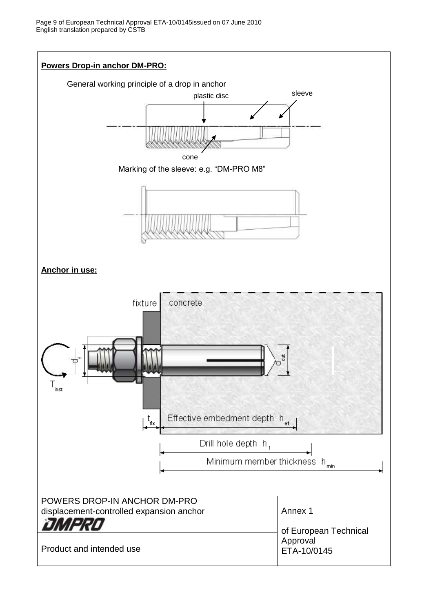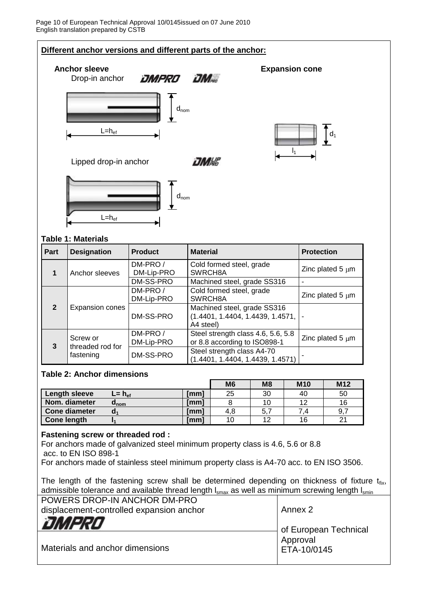

#### **3** Screw or threaded rod for fastening DM-PRO / DM-Lip-PRO Steel strength class 4.6, 5.6, 5.8 or 8.8 according to ISO898-1 DM-SS-PRO Steel strength class A4-70

### **Table 2: Anchor dimensions**

|                    |                     |      | M <sub>6</sub> | M <sub>8</sub> | <b>M10</b> | M <sub>12</sub> |
|--------------------|---------------------|------|----------------|----------------|------------|-----------------|
| Length sleeve      | $L = h_{\text{ef}}$ | [mm] | 25             | 30             | 40         | 50              |
| Nom. diameter      | u <sub>nom</sub>    | [mm] |                |                | 10         | 16              |
| Cone diameter      | a                   | [mm] | 4.8            | 5.7            |            | 9.7             |
| <b>Cone length</b> |                     | [mm] | 10             | 12             | 16         | ິ               |

(1.4401, 1.4404, 1.4439, 1.4571) -

Zinc plated  $5 \mu m$ 

### **Fastening screw or threaded rod :**

For anchors made of galvanized steel minimum property class is 4.6, 5.6 or 8.8 acc. to EN ISO 898-1

For anchors made of stainless steel minimum property class is A4-70 acc. to EN ISO 3506.

The length of the fastening screw shall be determined depending on thickness of fixture  $t_{fix}$ , admissible tolerance and available thread length  $I<sub>smax</sub>$  as well as minimum screwing length  $I<sub>smin</sub>$ 

| POWERS DROP-IN ANCHOR DM-PRO<br>displacement-controlled expansion anchor | Annex 2                 |
|--------------------------------------------------------------------------|-------------------------|
| DMPRO                                                                    | of European Technical   |
| Materials and anchor dimensions                                          | Approval<br>ETA-10/0145 |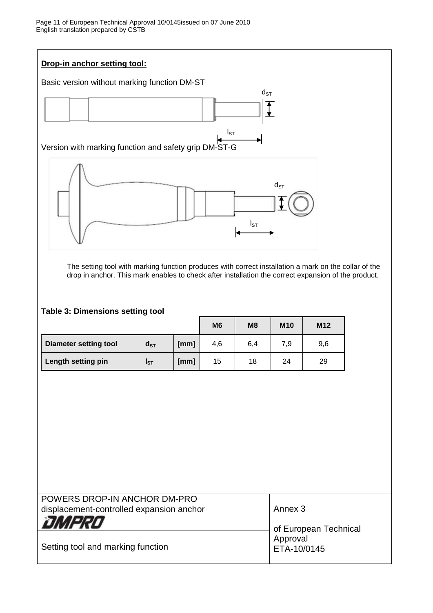

The setting tool with marking function produces with correct installation a mark on the collar of the drop in anchor. This mark enables to check after installation the correct expansion of the product.

### **Table 3: Dimensions setting tool**

|                       |          |      | M <sub>6</sub> | M <sub>8</sub> | <b>M10</b> | M <sub>12</sub> |
|-----------------------|----------|------|----------------|----------------|------------|-----------------|
| Diameter setting tool | $d_{ST}$ | [mm] | 4,6            | 6,4            | 7,9        | 9,6             |
| Length setting pin    | Ist      | [mm] | 15             | 18             | 24         | 29              |

| POWERS DROP-IN ANCHOR DM-PRO<br>displacement-controlled expansion anchor | Annex 3                 |
|--------------------------------------------------------------------------|-------------------------|
| OMPRO                                                                    | of European Technical   |
| Setting tool and marking function                                        | Approval<br>ETA-10/0145 |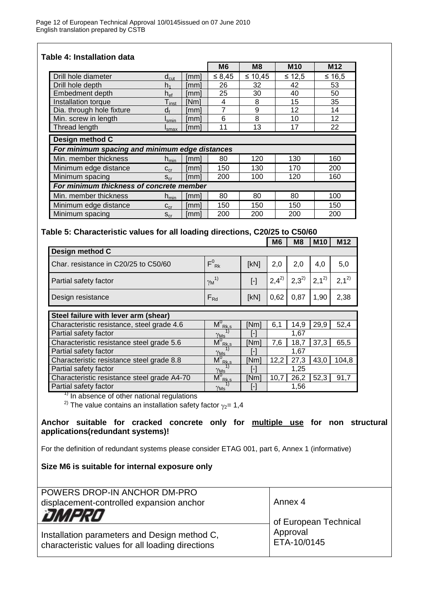**Table 4: Installation data** 

|                                                |                              |      | M <sub>6</sub> | M8           | <b>M10</b> | M <sub>12</sub> |
|------------------------------------------------|------------------------------|------|----------------|--------------|------------|-----------------|
| Drill hole diameter                            | $d_{cut}$                    | [mm] | $\leq 8,45$    | $\leq 10.45$ | $≤ 12.5$   | $≤ 16,5$        |
| Drill hole depth                               | h,                           | [mm] | 26             | 32           | 42         | 53              |
| Embedment depth                                | $h_{ef}$                     | [mm] | 25             | 30           | 40         | 50              |
| Installation torque                            | $\mathsf{T}_{\mathsf{inst}}$ | [Nm] | 4              | 8            | 15         | 35              |
| Dia. through hole fixture                      | $d_{f}$                      | mm]  |                | 9            | 12         | 14              |
| Min. screw in length                           | <b>I</b> smin                | mm]  | 6              | 8            | 10         | 12              |
| Thread length                                  | I <sub>smax</sub>            | [mm] | 11             | 13           | 17         | 22              |
| Design method C                                |                              |      |                |              |            |                 |
| For minimum spacing and minimum edge distances |                              |      |                |              |            |                 |
| Min. member thickness                          | $h_{\text{min}}$             | [mm] | 80             | 120          | 130        | 160             |
| Minimum edge distance                          | $C_{cr}$                     | [mm] | 150            | 130          | 170        | 200             |
| Minimum spacing                                | $S_{cr}$                     | [mm] | 200            | 100          | 120        | 160             |
| For minimum thickness of concrete member       |                              |      |                |              |            |                 |
| Min. member thickness                          | $h_{\text{min}}$             | [mm] | 80             | 80           | 80         | 100             |
| Minimum edge distance                          | $C_{cr}$                     | [mm] | 150            | 150          | 150        | 150             |
| Minimum spacing                                | $S_{cr}$                     | mm   | 200            | 200          | 200        | 200             |

### **Table 5: Characteristic values for all loading directions, C20/25 to C50/60**

|                                            |                                   |           | <b>M6</b> | M <sub>8</sub> | <b>M10</b> | M12       |
|--------------------------------------------|-----------------------------------|-----------|-----------|----------------|------------|-----------|
| Design method C                            |                                   |           |           |                |            |           |
| Char. resistance in C20/25 to C50/60       | $F^0_{\; Rk}$                     | [kN]      | 2,0       | 2,0            | 4,0        | 5,0       |
| Partial safety factor                      | $\gamma_M^{(1)}$                  | $[\cdot]$ | $2,4^{2}$ | $2,3^{2}$      | $2,1^{2}$  | $2.1^{2}$ |
| Design resistance                          | $F_{Rd}$                          | [kN]      | 0,62      | 0,87           | 1,90       | 2,38      |
| Steel failure with lever arm (shear)       |                                   |           |           |                |            |           |
| Characteristic resistance, steel grade 4.6 | $M^0_{\; \; Rk,s}$                | [Nm]      | 6,1       | 14.9           | 29,9       | 52,4      |
| Partial safety factor                      | $\gamma_{\rm Ms}$                 | [-]       |           | 1,67           |            |           |
| Characteristic resistance steel grade 5.6  | $M^0_{\; \; \text{Rk}, \text{s}}$ | [Nm]      | 7,6       | 18,7           | 37,3       | 65,5      |
| Dartial eafaty factor                      | $\sim$                            | $L_{1}$   |           | 1 R7           |            |           |

| $\gamma_{\text{Ms}}$                                                            | l-l               |      | 1.67 |      |       |  |  |
|---------------------------------------------------------------------------------|-------------------|------|------|------|-------|--|--|
| $M^{\circ}_{Rk,s}$                                                              | [Nm]              |      | 27.3 | 43,0 | 104,8 |  |  |
| $\gamma_{\rm Ms}$                                                               | H                 |      | 1.25 |      |       |  |  |
| $M^0_{\; Rk,s}$                                                                 | [Nm]              | 10.7 | 26,2 | 52,3 | 91,7  |  |  |
| $\gamma_{\rm Ms}$                                                               | $\lceil - \rceil$ |      | 1.56 |      |       |  |  |
| $\frac{1}{1}$ In absence of other national regulations                          |                   |      |      |      |       |  |  |
| <sup>2)</sup> The value contains an installation safety factor $\gamma_2$ = 1,4 |                   |      |      |      |       |  |  |
|                                                                                 |                   |      |      | 12.2 |       |  |  |

**Anchor suitable for cracked concrete only for multiple use for non structural applications(redundant systems)!**

For the definition of redundant systems please consider ETAG 001, part 6, Annex 1 (informative)

**Size M6 is suitable for internal exposure only**

| POWERS DROP-IN ANCHOR DM-PRO                                                                     |                       |
|--------------------------------------------------------------------------------------------------|-----------------------|
| displacement-controlled expansion anchor                                                         | Annex 4               |
| <b>DMPRO</b>                                                                                     | of European Technical |
|                                                                                                  | Approval              |
| Installation parameters and Design method C,<br>characteristic values for all loading directions | ETA-10/0145           |
|                                                                                                  |                       |